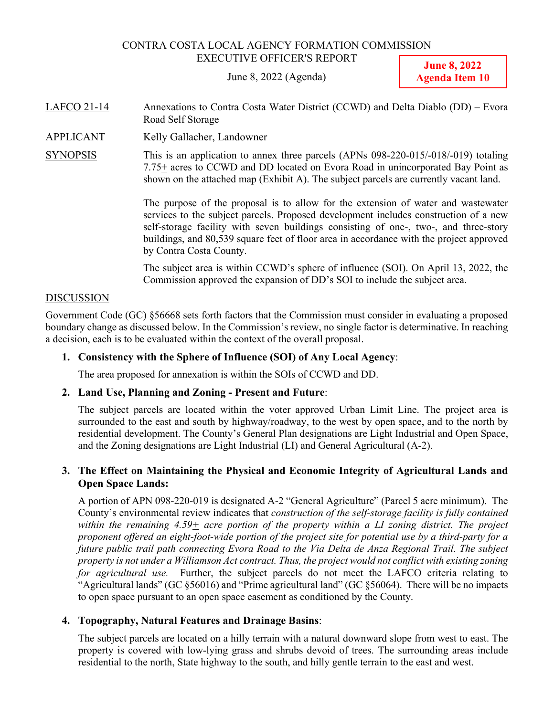#### CONTRA COSTA LOCAL AGENCY FORMATION COMMISSION EXECUTIVE OFFICER'S REPORT

June 8, 2022 (Agenda)

**June 8, 2022 Agenda Item 10**

- LAFCO 21-14 Annexations to Contra Costa Water District (CCWD) and Delta Diablo (DD) Evora Road Self Storage
- APPLICANT Kelly Gallacher, Landowner
- SYNOPSIS This is an application to annex three parcels (APNs 098-220-015/-018/-019) totaling 7.75+ acres to CCWD and DD located on Evora Road in unincorporated Bay Point as shown on the attached map (Exhibit A). The subject parcels are currently vacant land.

 The purpose of the proposal is to allow for the extension of water and wastewater services to the subject parcels. Proposed development includes construction of a new self-storage facility with seven buildings consisting of one-, two-, and three-story buildings, and 80,539 square feet of floor area in accordance with the project approved by Contra Costa County.

The subject area is within CCWD's sphere of influence (SOI). On April 13, 2022, the Commission approved the expansion of DD's SOI to include the subject area.

#### DISCUSSION

Government Code (GC) §56668 sets forth factors that the Commission must consider in evaluating a proposed boundary change as discussed below. In the Commission's review, no single factor is determinative. In reaching a decision, each is to be evaluated within the context of the overall proposal.

#### **1. Consistency with the Sphere of Influence (SOI) of Any Local Agency**:

The area proposed for annexation is within the SOIs of CCWD and DD.

#### **2. Land Use, Planning and Zoning - Present and Future**:

The subject parcels are located within the voter approved Urban Limit Line. The project area is surrounded to the east and south by highway/roadway, to the west by open space, and to the north by residential development. The County's General Plan designations are Light Industrial and Open Space, and the Zoning designations are Light Industrial (LI) and General Agricultural (A-2).

### **3. The Effect on Maintaining the Physical and Economic Integrity of Agricultural Lands and Open Space Lands:**

A portion of APN 098-220-019 is designated A-2 "General Agriculture" (Parcel 5 acre minimum). The County's environmental review indicates that *construction of the self-storage facility is fully contained within the remaining 4.59+ acre portion of the property within a LI zoning district. The project proponent offered an eight-foot-wide portion of the project site for potential use by a third-party for a future public trail path connecting Evora Road to the Via Delta de Anza Regional Trail. The subject property is not under a Williamson Act contract. Thus, the project would not conflict with existing zoning for agricultural use.* Further, the subject parcels do not meet the LAFCO criteria relating to "Agricultural lands" (GC §56016) and "Prime agricultural land" (GC §56064). There will be no impacts to open space pursuant to an open space easement as conditioned by the County.

#### **4. Topography, Natural Features and Drainage Basins**:

The subject parcels are located on a hilly terrain with a natural downward slope from west to east. The property is covered with low-lying grass and shrubs devoid of trees. The surrounding areas include residential to the north, State highway to the south, and hilly gentle terrain to the east and west.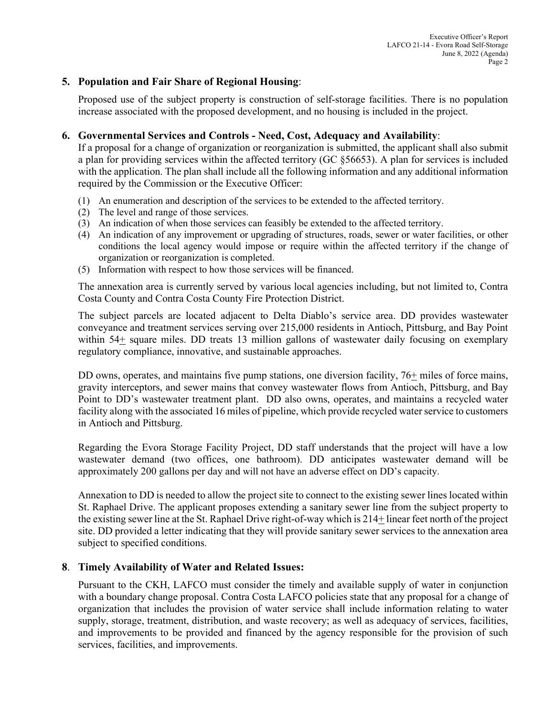### **5. Population and Fair Share of Regional Housing**:

Proposed use of the subject property is construction of self-storage facilities. There is no population increase associated with the proposed development, and no housing is included in the project.

#### **6. Governmental Services and Controls - Need, Cost, Adequacy and Availability**:

If a proposal for a change of organization or reorganization is submitted, the applicant shall also submit a plan for providing services within the affected territory (GC §56653). A plan for services is included with the application. The plan shall include all the following information and any additional information required by the Commission or the Executive Officer:

- (1) An enumeration and description of the services to be extended to the affected territory.
- (2) The level and range of those services.
- (3) An indication of when those services can feasibly be extended to the affected territory.
- (4) An indication of any improvement or upgrading of structures, roads, sewer or water facilities, or other conditions the local agency would impose or require within the affected territory if the change of organization or reorganization is completed.
- (5) Information with respect to how those services will be financed.

The annexation area is currently served by various local agencies including, but not limited to, Contra Costa County and Contra Costa County Fire Protection District.

The subject parcels are located adjacent to Delta Diablo's service area. DD provides wastewater conveyance and treatment services serving over 215,000 residents in Antioch, Pittsburg, and Bay Point within 54+ square miles. DD treats 13 million gallons of wastewater daily focusing on exemplary regulatory compliance, innovative, and sustainable approaches.

DD owns, operates, and maintains five pump stations, one diversion facility, 76+ miles of force mains, gravity interceptors, and sewer mains that convey wastewater flows from Antioch, Pittsburg, and Bay Point to DD's wastewater treatment plant. DD also owns, operates, and maintains a recycled water facility along with the associated 16 miles of pipeline, which provide recycled water service to customers in Antioch and Pittsburg.

Regarding the Evora Storage Facility Project, DD staff understands that the project will have a low wastewater demand (two offices, one bathroom). DD anticipates wastewater demand will be approximately 200 gallons per day and will not have an adverse effect on DD's capacity.

Annexation to DD is needed to allow the project site to connect to the existing sewer lines located within St. Raphael Drive. The applicant proposes extending a sanitary sewer line from the subject property to the existing sewer line at the St. Raphael Drive right-of-way which is 214+ linear feet north of the project site. DD provided a letter indicating that they will provide sanitary sewer services to the annexation area subject to specified conditions.

#### **8**. **Timely Availability of Water and Related Issues:**

Pursuant to the CKH, LAFCO must consider the timely and available supply of water in conjunction with a boundary change proposal. Contra Costa LAFCO policies state that any proposal for a change of organization that includes the provision of water service shall include information relating to water supply, storage, treatment, distribution, and waste recovery; as well as adequacy of services, facilities, and improvements to be provided and financed by the agency responsible for the provision of such services, facilities, and improvements.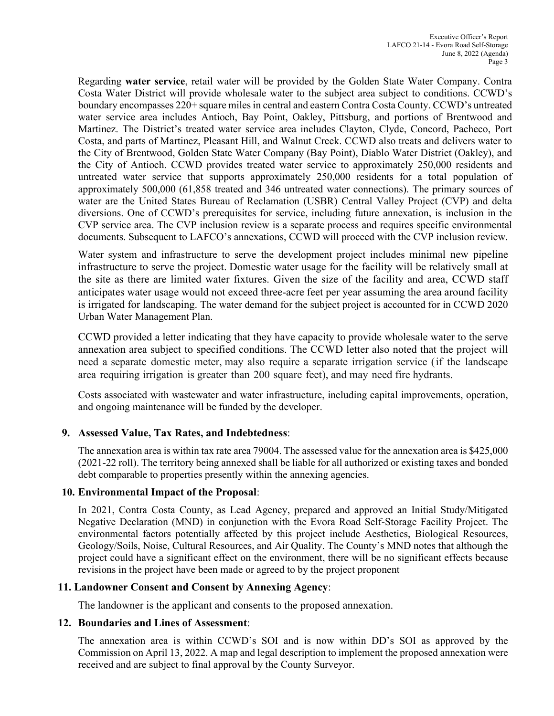Regarding **water service**, retail water will be provided by the Golden State Water Company. Contra Costa Water District will provide wholesale water to the subject area subject to conditions. CCWD's boundary encompasses 220+ square miles in central and eastern Contra Costa County. CCWD's untreated water service area includes Antioch, Bay Point, Oakley, Pittsburg, and portions of Brentwood and Martinez. The District's treated water service area includes Clayton, Clyde, Concord, Pacheco, Port Costa, and parts of Martinez, Pleasant Hill, and Walnut Creek. CCWD also treats and delivers water to the City of Brentwood, Golden State Water Company (Bay Point), Diablo Water District (Oakley), and the City of Antioch. CCWD provides treated water service to approximately 250,000 residents and untreated water service that supports approximately 250,000 residents for a total population of approximately 500,000 (61,858 treated and 346 untreated water connections). The primary sources of water are the United States Bureau of Reclamation (USBR) Central Valley Project (CVP) and delta diversions. One of CCWD's prerequisites for service, including future annexation, is inclusion in the CVP service area. The CVP inclusion review is a separate process and requires specific environmental documents. Subsequent to LAFCO's annexations, CCWD will proceed with the CVP inclusion review.

Water system and infrastructure to serve the development project includes minimal new pipeline infrastructure to serve the project. Domestic water usage for the facility will be relatively small at the site as there are limited water fixtures. Given the size of the facility and area, CCWD staff anticipates water usage would not exceed three-acre feet per year assuming the area around facility is irrigated for landscaping. The water demand for the subject project is accounted for in CCWD 2020 Urban Water Management Plan.

CCWD provided a letter indicating that they have capacity to provide wholesale water to the serve annexation area subject to specified conditions. The CCWD letter also noted that the project will need a separate domestic meter, may also require a separate irrigation service (if the landscape area requiring irrigation is greater than 200 square feet), and may need fire hydrants.

Costs associated with wastewater and water infrastructure, including capital improvements, operation, and ongoing maintenance will be funded by the developer.

#### **9. Assessed Value, Tax Rates, and Indebtedness**:

The annexation area is within tax rate area 79004. The assessed value for the annexation area is \$425,000 (2021-22 roll). The territory being annexed shall be liable for all authorized or existing taxes and bonded debt comparable to properties presently within the annexing agencies.

#### **10. Environmental Impact of the Proposal**:

In 2021, Contra Costa County, as Lead Agency, prepared and approved an Initial Study/Mitigated Negative Declaration (MND) in conjunction with the Evora Road Self-Storage Facility Project. The environmental factors potentially affected by this project include Aesthetics, Biological Resources, Geology/Soils, Noise, Cultural Resources, and Air Quality. The County's MND notes that although the project could have a significant effect on the environment, there will be no significant effects because revisions in the project have been made or agreed to by the project proponent

#### **11. Landowner Consent and Consent by Annexing Agency**:

The landowner is the applicant and consents to the proposed annexation.

#### **12. Boundaries and Lines of Assessment**:

The annexation area is within CCWD's SOI and is now within DD's SOI as approved by the Commission on April 13, 2022. A map and legal description to implement the proposed annexation were received and are subject to final approval by the County Surveyor.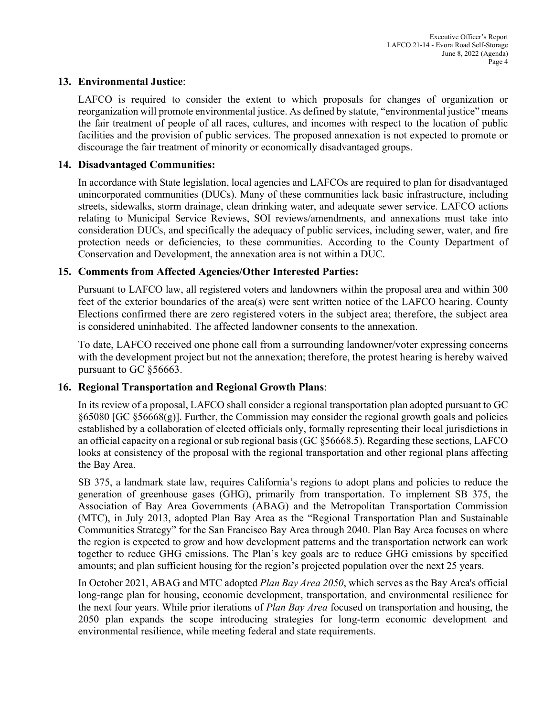#### **13. Environmental Justice**:

LAFCO is required to consider the extent to which proposals for changes of organization or reorganization will promote environmental justice. As defined by statute, "environmental justice" means the fair treatment of people of all races, cultures, and incomes with respect to the location of public facilities and the provision of public services. The proposed annexation is not expected to promote or discourage the fair treatment of minority or economically disadvantaged groups.

#### **14. Disadvantaged Communities:**

In accordance with State legislation, local agencies and LAFCOs are required to plan for disadvantaged unincorporated communities (DUCs). Many of these communities lack basic infrastructure, including streets, sidewalks, storm drainage, clean drinking water, and adequate sewer service. LAFCO actions relating to Municipal Service Reviews, SOI reviews/amendments, and annexations must take into consideration DUCs, and specifically the adequacy of public services, including sewer, water, and fire protection needs or deficiencies, to these communities. According to the County Department of Conservation and Development, the annexation area is not within a DUC.

### **15. Comments from Affected Agencies/Other Interested Parties:**

Pursuant to LAFCO law, all registered voters and landowners within the proposal area and within 300 feet of the exterior boundaries of the area(s) were sent written notice of the LAFCO hearing. County Elections confirmed there are zero registered voters in the subject area; therefore, the subject area is considered uninhabited. The affected landowner consents to the annexation.

To date, LAFCO received one phone call from a surrounding landowner/voter expressing concerns with the development project but not the annexation; therefore, the protest hearing is hereby waived pursuant to GC §56663.

#### **16. Regional Transportation and Regional Growth Plans**:

In its review of a proposal, LAFCO shall consider a regional transportation plan adopted pursuant to GC  $§65080$  [GC  $§56668(g)$ ]. Further, the Commission may consider the regional growth goals and policies established by a collaboration of elected officials only, formally representing their local jurisdictions in an official capacity on a regional or sub regional basis (GC §56668.5). Regarding these sections, LAFCO looks at consistency of the proposal with the regional transportation and other regional plans affecting the Bay Area.

SB 375, a landmark state law, requires California's regions to adopt plans and policies to reduce the generation of greenhouse gases (GHG), primarily from transportation. To implement SB 375, the Association of Bay Area Governments (ABAG) and the Metropolitan Transportation Commission (MTC), in July 2013, adopted Plan Bay Area as the "Regional Transportation Plan and Sustainable Communities Strategy" for the San Francisco Bay Area through 2040. Plan Bay Area focuses on where the region is expected to grow and how development patterns and the transportation network can work together to reduce GHG emissions. The Plan's key goals are to reduce GHG emissions by specified amounts; and plan sufficient housing for the region's projected population over the next 25 years.

In October 2021, ABAG and MTC adopted *Plan Bay Area 2050*, which serves as the Bay Area's official long-range plan for housing, economic development, transportation, and environmental resilience for the next four years. While prior iterations of *Plan Bay Area* focused on transportation and housing, the 2050 plan expands the scope introducing strategies for long-term economic development and environmental resilience, while meeting federal and state requirements.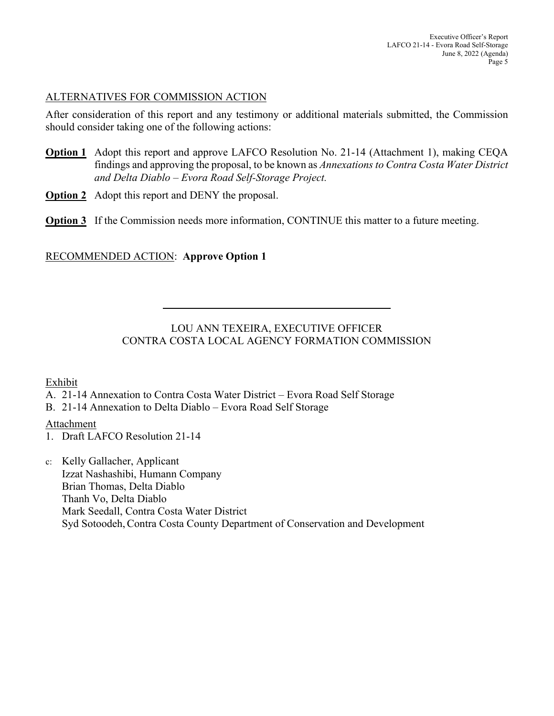## ALTERNATIVES FOR COMMISSION ACTION

After consideration of this report and any testimony or additional materials submitted, the Commission should consider taking one of the following actions:

- **Option 1** Adopt this report and approve LAFCO Resolution No. 21-14 (Attachment 1), making CEQA findings and approving the proposal, to be known as *Annexations to Contra Costa Water District and Delta Diablo – Evora Road Self-Storage Project.*
- **Option 2** Adopt this report and DENY the proposal.
- **Option 3** If the Commission needs more information, CONTINUE this matter to a future meeting.

# RECOMMENDED ACTION: **Approve Option 1**

 $\overline{a}$ 

# LOU ANN TEXEIRA, EXECUTIVE OFFICER CONTRA COSTA LOCAL AGENCY FORMATION COMMISSION

### Exhibit

- A. 21-14 Annexation to Contra Costa Water District Evora Road Self Storage
- B. 21-14 Annexation to Delta Diablo Evora Road Self Storage

# Attachment

- 1. Draft LAFCO Resolution 21-14
- c: Kelly Gallacher, Applicant Izzat Nashashibi, Humann Company Brian Thomas, Delta Diablo Thanh Vo, Delta Diablo Mark Seedall, Contra Costa Water District Syd Sotoodeh, Contra Costa County Department of Conservation and Development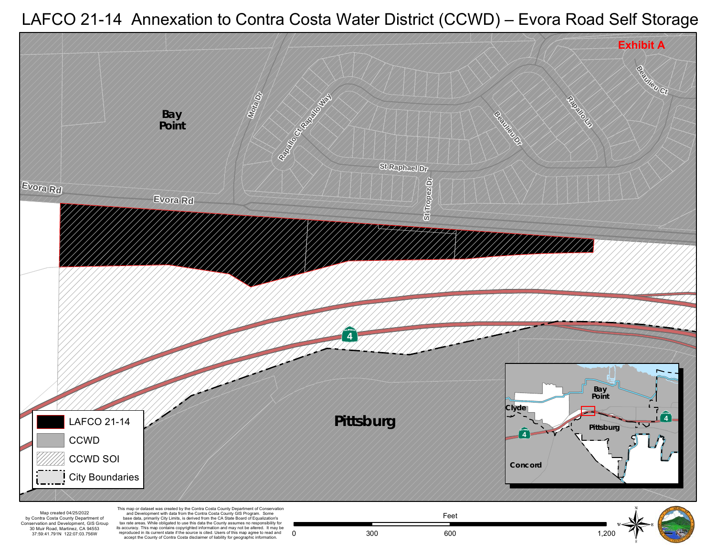

LAFCO 21-14 Annexation to Contra Costa Water District (CCWD) – Evora Road Self Storage

30 Muir R oad , Martine z, CA 94553 37:59:41.791N 122:07:03.756W

reproduced in its current state if the source is cited. Users of this map agree to read and accept the County of Contra Costa disclaimer of liability for geographic information.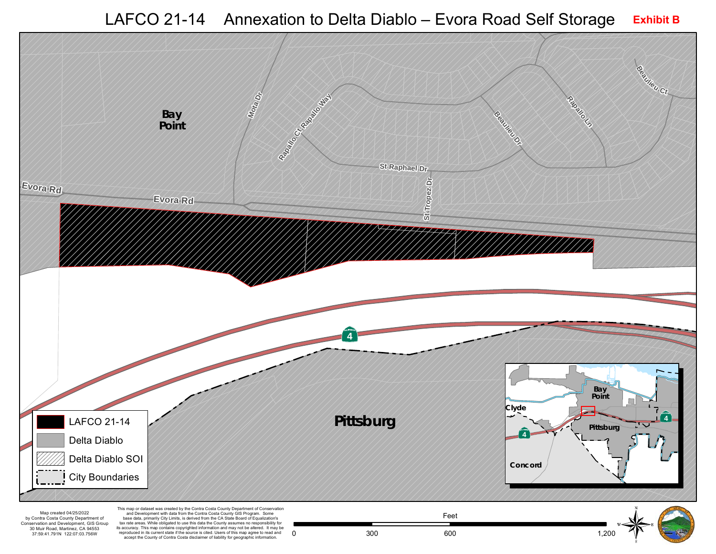LAFCO 21-14 Annexation to Delta Diablo - Evora Road Self Storage Exhibit B

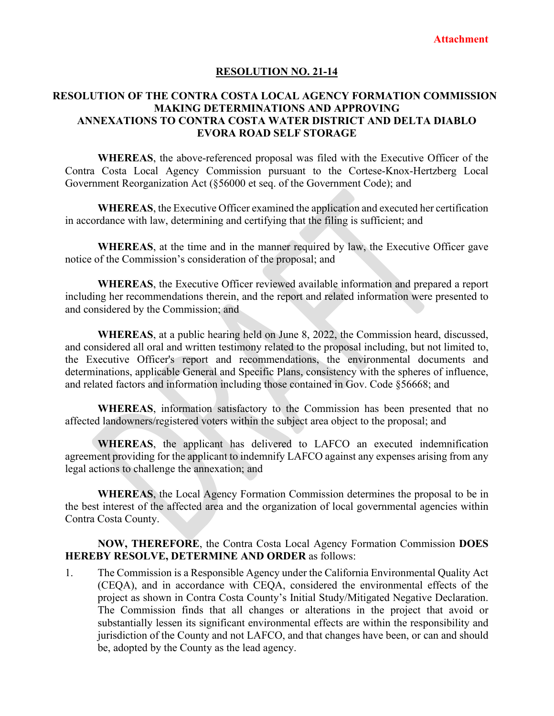#### **RESOLUTION NO. 21-14**

### **RESOLUTION OF THE CONTRA COSTA LOCAL AGENCY FORMATION COMMISSION MAKING DETERMINATIONS AND APPROVING ANNEXATIONS TO CONTRA COSTA WATER DISTRICT AND DELTA DIABLO EVORA ROAD SELF STORAGE**

**WHEREAS**, the above-referenced proposal was filed with the Executive Officer of the Contra Costa Local Agency Commission pursuant to the Cortese-Knox-Hertzberg Local Government Reorganization Act (§56000 et seq. of the Government Code); and

**WHEREAS**, the Executive Officer examined the application and executed her certification in accordance with law, determining and certifying that the filing is sufficient; and

**WHEREAS**, at the time and in the manner required by law, the Executive Officer gave notice of the Commission's consideration of the proposal; and

**WHEREAS**, the Executive Officer reviewed available information and prepared a report including her recommendations therein, and the report and related information were presented to and considered by the Commission; and

**WHEREAS**, at a public hearing held on June 8, 2022, the Commission heard, discussed, and considered all oral and written testimony related to the proposal including, but not limited to, the Executive Officer's report and recommendations, the environmental documents and determinations, applicable General and Specific Plans, consistency with the spheres of influence, and related factors and information including those contained in Gov. Code §56668; and

**WHEREAS**, information satisfactory to the Commission has been presented that no affected landowners/registered voters within the subject area object to the proposal; and

**WHEREAS**, the applicant has delivered to LAFCO an executed indemnification agreement providing for the applicant to indemnify LAFCO against any expenses arising from any legal actions to challenge the annexation; and

**WHEREAS**, the Local Agency Formation Commission determines the proposal to be in the best interest of the affected area and the organization of local governmental agencies within Contra Costa County.

#### **NOW, THEREFORE**, the Contra Costa Local Agency Formation Commission **DOES HEREBY RESOLVE, DETERMINE AND ORDER** as follows:

1. The Commission is a Responsible Agency under the California Environmental Quality Act (CEQA), and in accordance with CEQA, considered the environmental effects of the project as shown in Contra Costa County's Initial Study/Mitigated Negative Declaration. The Commission finds that all changes or alterations in the project that avoid or substantially lessen its significant environmental effects are within the responsibility and jurisdiction of the County and not LAFCO, and that changes have been, or can and should be, adopted by the County as the lead agency.